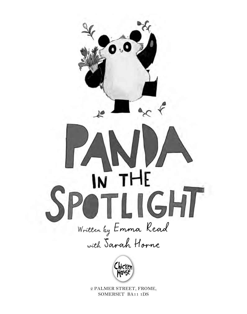



 2 PALMER STREET, FROME, SOMERSET BA11 1DS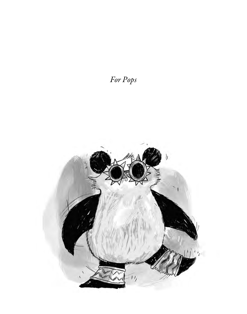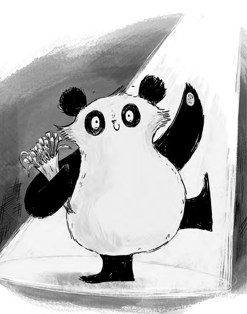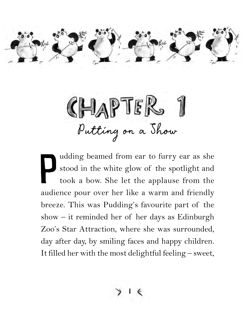

CHAPTER 1 Putting on a Show

P udding beamed from ear to furry ear as she stood in the white glow of the spotlight and took a bow. She let the applause from the audience pour over her like a warm and friendly breeze. This was Pudding's favourite part of the show – it reminded her of her days as Edinburgh Zoo's Star Attraction, where she was surrounded, day after day, by smiling faces and happy children. It filled her with the most delightful feeling – sweet,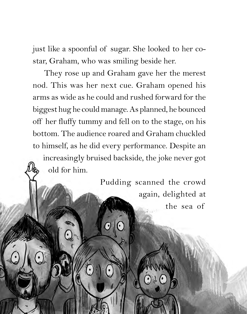just like a spoonful of sugar. She looked to her costar, Graham, who was smiling beside her.

They rose up and Graham gave her the merest nod. This was her next cue. Graham opened his arms as wide as he could and rushed forward for the biggest hug he could manage. As planned, he bounced off her fluffy tummy and fell on to the stage, on his bottom. The audience roared and Graham chuckled to himself, as he did every performance. Despite an increasingly bruised backside, the joke never got old for him.

2

Pudding scanned the crowd again, delighted at the sea of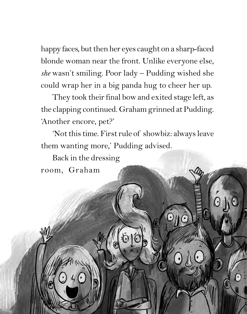happy faces, but then her eyes caught on a sharp-faced blonde woman near the front. Unlike everyone else, *she* wasn't smiling. Poor lady – Pudding wished she could wrap her in a big panda hug to cheer her up.

They took their final bow and exited stage left, as the clapping continued. Graham grinned at Pudding. 'Another encore, pet?'

'Not this time. First rule of showbiz: always leave them wanting more,' Pudding advised.

3

Back in the dressing room, Graham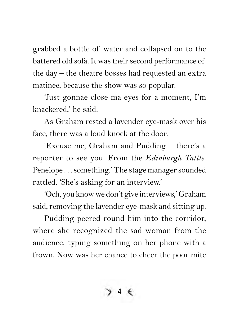grabbed a bottle of water and collapsed on to the battered old sofa. It was their second performance of the day – the theatre bosses had requested an extra matinee, because the show was so popular.

'Just gonnae close ma eyes for a moment, I'm knackered,' he said.

As Graham rested a lavender eye-mask over his face, there was a loud knock at the door.

'Excuse me, Graham and Pudding – there's a reporter to see you. From the *Edinburgh Tattle*. Penelope . . . something.' The stage manager sounded rattled. 'She's asking for an interview.'

'Och, you know we don't give interviews,' Graham said, removing the lavender eye-mask and sitting up.

Pudding peered round him into the corridor, where she recognized the sad woman from the audience, typing something on her phone with a frown. Now was her chance to cheer the poor mite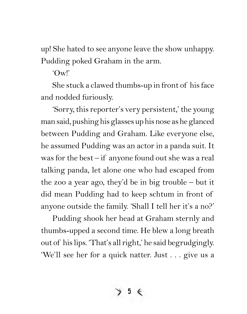up! She hated to see anyone leave the show unhappy. Pudding poked Graham in the arm.

'Ow!'

She stuck a clawed thumbs-up in front of his face and nodded furiously.

'Sorry, this reporter's very persistent,' the young man said, pushing his glasses up his nose as he glanced between Pudding and Graham. Like everyone else, he assumed Pudding was an actor in a panda suit. It was for the best – if anyone found out she was a real talking panda, let alone one who had escaped from the zoo a year ago, they'd be in big trouble – but it did mean Pudding had to keep schtum in front of anyone outside the family. 'Shall I tell her it's a no?'

Pudding shook her head at Graham sternly and thumbs-upped a second time. He blew a long breath out of his lips. 'That's all right,' he said begrudgingly. 'We'll see her for a quick natter. Just . . . give us a

 $> 5 <$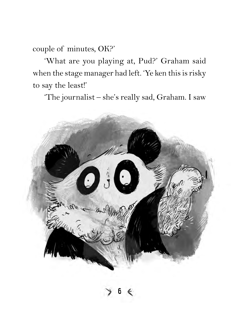couple of minutes, OK?'

'What are you playing at, Pud?' Graham said when the stage manager had left. 'Ye ken this is risky to say the least!'

'The journalist – she's really sad, Graham. I saw

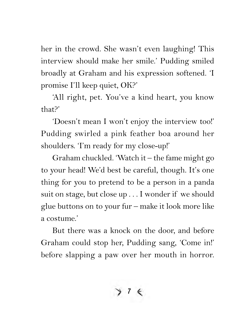her in the crowd. She wasn't even laughing! This interview should make her smile.' Pudding smiled broadly at Graham and his expression softened. 'I promise I'll keep quiet, OK?'

'All right, pet. You've a kind heart, you know that?'

'Doesn't mean I won't enjoy the interview too!' Pudding swirled a pink feather boa around her shoulders. 'I'm ready for my close-up!'

Graham chuckled. 'Watch it – the fame might go to your head! We'd best be careful, though. It's one thing for you to pretend to be a person in a panda suit on stage, but close up . . . I wonder if we should glue buttons on to your fur – make it look more like a costume.'

But there was a knock on the door, and before Graham could stop her, Pudding sang, 'Come in!' before slapping a paw over her mouth in horror.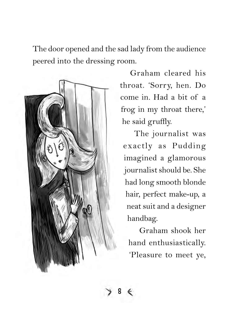The door opened and the sad lady from the audience peered into the dressing room.



Graham cleared his throat. 'Sorry, hen. Do come in. Had a bit of a frog in my throat there,' he said gruffly.

The journalist was exactly as Pudding imagined a glamorous journalist should be. She had long smooth blonde hair, perfect make-up, a neat suit and a designer handbag.

Graham shook her hand enthusiastically. 'Pleasure to meet ye,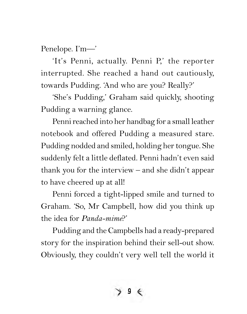Penelope. I'm—'

'It's Penni, actually. Penni P,' the reporter interrupted. She reached a hand out cautiously, towards Pudding. 'And who are you? Really?'

'She's Pudding,' Graham said quickly, shooting Pudding a warning glance.

Penni reached into her handbag for a small leather notebook and offered Pudding a measured stare. Pudding nodded and smiled, holding her tongue. She suddenly felt a little deflated. Penni hadn't even said thank you for the interview – and she didn't appear to have cheered up at all!

Penni forced a tight-lipped smile and turned to Graham. 'So, Mr Campbell, how did you think up the idea for *Panda-mime*?'

Pudding and the Campbells had a ready-prepared story for the inspiration behind their sell-out show. Obviously, they couldn't very well tell the world it

 $9 \le$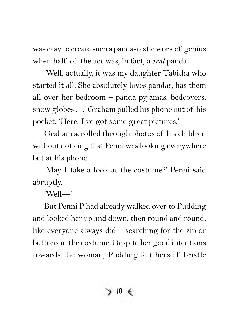was easy to create such a panda-tastic work of genius when half of the act was, in fact, a *real* panda.

'Well, actually, it was my daughter Tabitha who started it all. She absolutely loves pandas, has them all over her bedroom – panda pyjamas, bedcovers, snow globes . . .' Graham pulled his phone out of his pocket. 'Here, I've got some great pictures.'

Graham scrolled through photos of his children without noticing that Penni was looking everywhere but at his phone.

'May I take a look at the costume?' Penni said abruptly.

'Well—'

But Penni P had already walked over to Pudding and looked her up and down, then round and round, like everyone always did – searching for the zip or buttons in the costume. Despite her good intentions towards the woman, Pudding felt herself bristle

 $\rightarrow$  10  $\leq$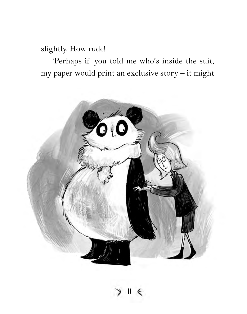slightly. How rude!

'Perhaps if you told me who's inside the suit, my paper would print an exclusive story – it might

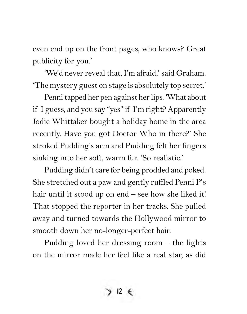even end up on the front pages, who knows? Great publicity for you.'

'We'd never reveal that, I'm afraid,' said Graham. 'The mystery guest on stage is absolutely top secret.'

Penni tapped her pen against her lips. 'What about if I guess, and you say "yes" if I'm right? Apparently Jodie Whittaker bought a holiday home in the area recently. Have you got Doctor Who in there?' She stroked Pudding's arm and Pudding felt her fingers sinking into her soft, warm fur. 'So realistic.'

Pudding didn't care for being prodded and poked. She stretched out a paw and gently ruffled Penni P's hair until it stood up on end – see how she liked it! That stopped the reporter in her tracks. She pulled away and turned towards the Hollywood mirror to smooth down her no-longer-perfect hair.

Pudding loved her dressing room – the lights on the mirror made her feel like a real star, as did

 $\rightarrow$  12  $\leq$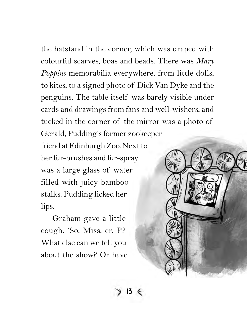the hatstand in the corner, which was draped with colourful scarves, boas and beads. There was *Mary Poppins* memorabilia everywhere, from little dolls, to kites, to a signed photo of Dick Van Dyke and the penguins. The table itself was barely visible under cards and drawings from fans and well-wishers, and tucked in the corner of the mirror was a photo of Gerald, Pudding's former zookeeper friend at Edinburgh Zoo. Next to her fur-brushes and fur-spray was a large glass of water filled with juicy bamboo stalks. Pudding licked her lips.

Graham gave a little cough. 'So, Miss, er, P? What else can we tell you about the show? Or have

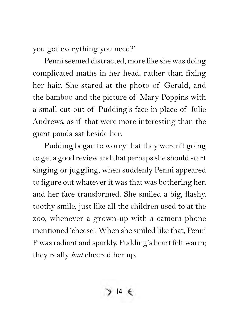you got everything you need?'

Penni seemed distracted, more like she was doing complicated maths in her head, rather than fixing her hair. She stared at the photo of Gerald, and the bamboo and the picture of Mary Poppins with a small cut-out of Pudding's face in place of Julie Andrews, as if that were more interesting than the giant panda sat beside her.

Pudding began to worry that they weren't going to get a good review and that perhaps she should start singing or juggling, when suddenly Penni appeared to figure out whatever it was that was bothering her, and her face transformed. She smiled a big, flashy, toothy smile, just like all the children used to at the zoo, whenever a grown-up with a camera phone mentioned 'cheese'. When she smiled like that, Penni P was radiant and sparkly. Pudding's heart felt warm; they really *had* cheered her up.